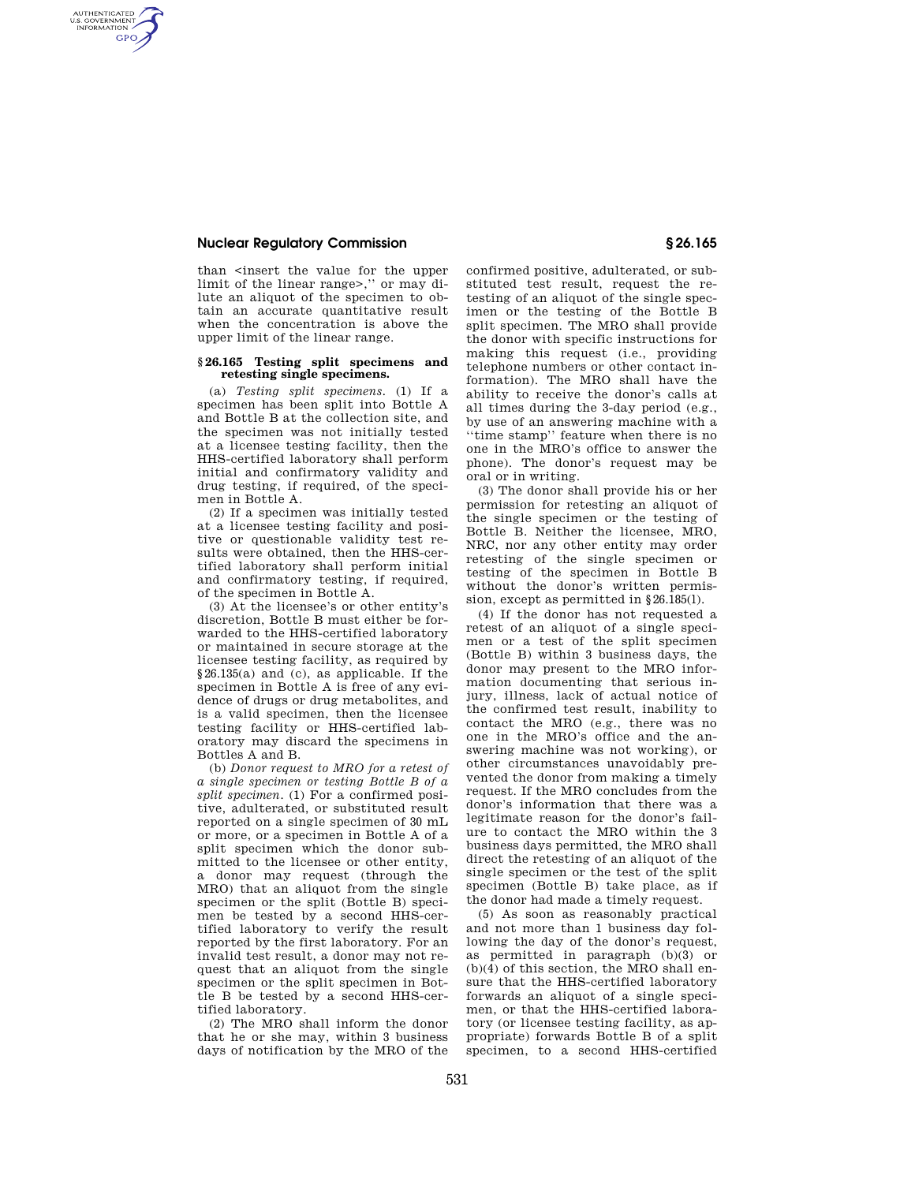## **Nuclear Regulatory Commission § 26.165**

AUTHENTICATED<br>U.S. GOVERNMENT<br>INFORMATION **GPO** 

> than <insert the value for the upper limit of the linear range>,'' or may dilute an aliquot of the specimen to obtain an accurate quantitative result when the concentration is above the upper limit of the linear range.

## **§ 26.165 Testing split specimens and retesting single specimens.**

(a) *Testing split specimens.* (1) If a specimen has been split into Bottle A and Bottle B at the collection site, and the specimen was not initially tested at a licensee testing facility, then the HHS-certified laboratory shall perform initial and confirmatory validity and drug testing, if required, of the specimen in Bottle A.

(2) If a specimen was initially tested at a licensee testing facility and positive or questionable validity test results were obtained, then the HHS-certified laboratory shall perform initial and confirmatory testing, if required, of the specimen in Bottle A.

(3) At the licensee's or other entity's discretion, Bottle B must either be forwarded to the HHS-certified laboratory or maintained in secure storage at the licensee testing facility, as required by §26.135(a) and (c), as applicable. If the specimen in Bottle A is free of any evidence of drugs or drug metabolites, and is a valid specimen, then the licensee testing facility or HHS-certified laboratory may discard the specimens in Bottles A and B.

(b) *Donor request to MRO for a retest of a single specimen or testing Bottle B of a split specimen.* (1) For a confirmed positive, adulterated, or substituted result reported on a single specimen of 30 mL or more, or a specimen in Bottle A of a split specimen which the donor submitted to the licensee or other entity, a donor may request (through the MRO) that an aliquot from the single specimen or the split (Bottle B) specimen be tested by a second HHS-certified laboratory to verify the result reported by the first laboratory. For an invalid test result, a donor may not request that an aliquot from the single specimen or the split specimen in Bottle B be tested by a second HHS-certified laboratory.

(2) The MRO shall inform the donor that he or she may, within 3 business days of notification by the MRO of the confirmed positive, adulterated, or substituted test result, request the retesting of an aliquot of the single specimen or the testing of the Bottle B split specimen. The MRO shall provide the donor with specific instructions for making this request (i.e., providing telephone numbers or other contact information). The MRO shall have the ability to receive the donor's calls at all times during the 3-day period (e.g., by use of an answering machine with a ''time stamp'' feature when there is no one in the MRO's office to answer the phone). The donor's request may be oral or in writing.

(3) The donor shall provide his or her permission for retesting an aliquot of the single specimen or the testing of Bottle B. Neither the licensee, MRO, NRC, nor any other entity may order retesting of the single specimen or testing of the specimen in Bottle B without the donor's written permission, except as permitted in §26.185(l).

(4) If the donor has not requested a retest of an aliquot of a single specimen or a test of the split specimen (Bottle B) within 3 business days, the donor may present to the MRO information documenting that serious injury, illness, lack of actual notice of the confirmed test result, inability to contact the MRO (e.g., there was no one in the MRO's office and the answering machine was not working), or other circumstances unavoidably prevented the donor from making a timely request. If the MRO concludes from the donor's information that there was a legitimate reason for the donor's failure to contact the MRO within the 3 business days permitted, the MRO shall direct the retesting of an aliquot of the single specimen or the test of the split specimen (Bottle B) take place, as if the donor had made a timely request.

(5) As soon as reasonably practical and not more than 1 business day following the day of the donor's request, as permitted in paragraph (b)(3) or (b)(4) of this section, the MRO shall ensure that the HHS-certified laboratory forwards an aliquot of a single specimen, or that the HHS-certified laboratory (or licensee testing facility, as appropriate) forwards Bottle B of a split specimen, to a second HHS-certified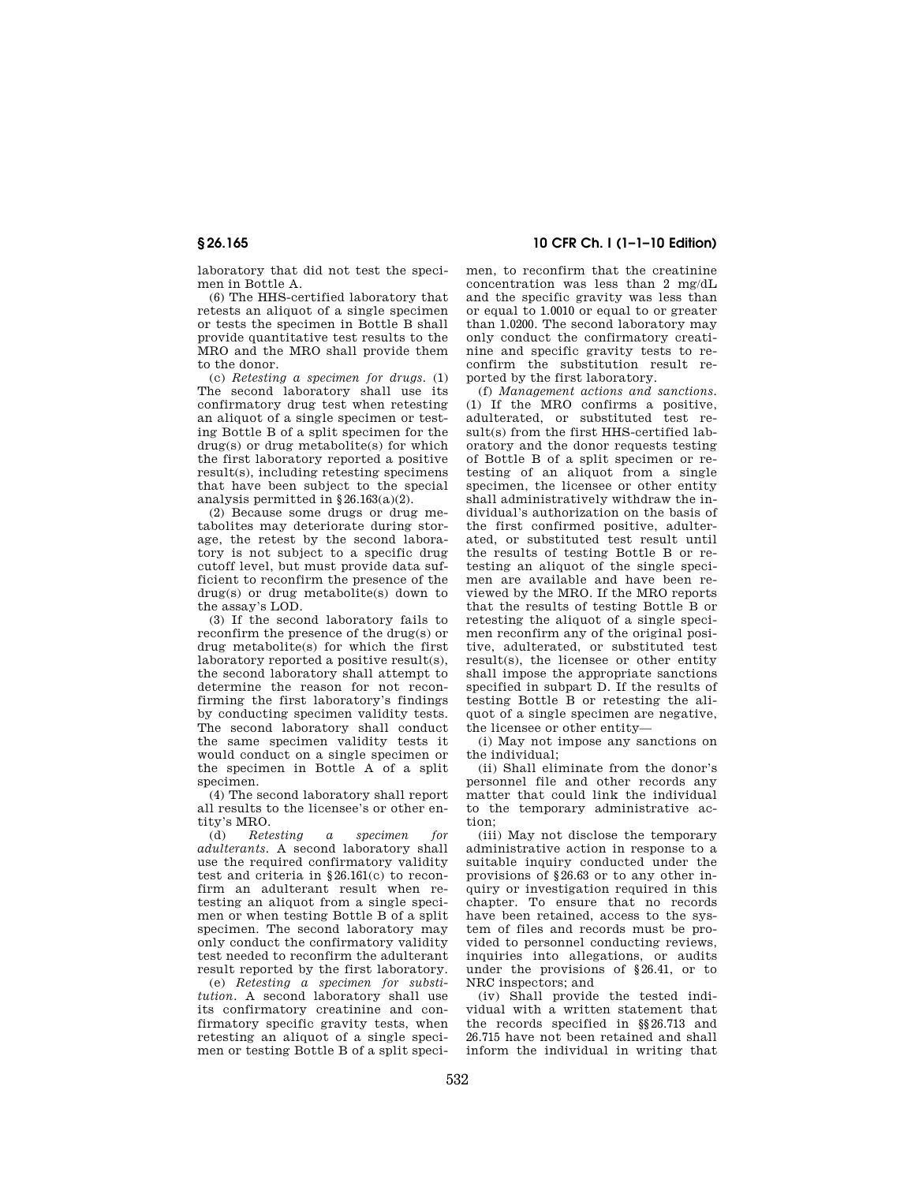laboratory that did not test the specimen in Bottle A.

(6) The HHS-certified laboratory that retests an aliquot of a single specimen or tests the specimen in Bottle B shall provide quantitative test results to the MRO and the MRO shall provide them to the donor.

(c) *Retesting a specimen for drugs.* (1) The second laboratory shall use its confirmatory drug test when retesting an aliquot of a single specimen or testing Bottle B of a split specimen for the drug(s) or drug metabolite(s) for which the first laboratory reported a positive result(s), including retesting specimens that have been subject to the special analysis permitted in §26.163(a)(2).

(2) Because some drugs or drug metabolites may deteriorate during storage, the retest by the second laboratory is not subject to a specific drug cutoff level, but must provide data sufficient to reconfirm the presence of the drug(s) or drug metabolite(s) down to the assay's LOD.

(3) If the second laboratory fails to reconfirm the presence of the drug(s) or drug metabolite(s) for which the first laboratory reported a positive result(s), the second laboratory shall attempt to determine the reason for not reconfirming the first laboratory's findings by conducting specimen validity tests. The second laboratory shall conduct the same specimen validity tests it would conduct on a single specimen or the specimen in Bottle A of a split specimen

(4) The second laboratory shall report all results to the licensee's or other entity's MRO.<br>(d)  $Rete$ 

(d) *Retesting a specimen for adulterants.* A second laboratory shall use the required confirmatory validity test and criteria in §26.161(c) to reconfirm an adulterant result when retesting an aliquot from a single specimen or when testing Bottle B of a split specimen. The second laboratory may only conduct the confirmatory validity test needed to reconfirm the adulterant result reported by the first laboratory.

(e) *Retesting a specimen for substitution.* A second laboratory shall use its confirmatory creatinine and confirmatory specific gravity tests, when retesting an aliquot of a single specimen or testing Bottle B of a split speci-

**§ 26.165 10 CFR Ch. I (1–1–10 Edition)** 

men, to reconfirm that the creatinine concentration was less than 2 mg/dL and the specific gravity was less than or equal to 1.0010 or equal to or greater than 1.0200. The second laboratory may only conduct the confirmatory creatinine and specific gravity tests to reconfirm the substitution result reported by the first laboratory.

(f) *Management actions and sanctions.*  (1) If the MRO confirms a positive, adulterated, or substituted test result(s) from the first HHS-certified laboratory and the donor requests testing of Bottle B of a split specimen or retesting of an aliquot from a single specimen, the licensee or other entity shall administratively withdraw the individual's authorization on the basis of the first confirmed positive, adulterated, or substituted test result until the results of testing Bottle B or retesting an aliquot of the single specimen are available and have been reviewed by the MRO. If the MRO reports that the results of testing Bottle B or retesting the aliquot of a single specimen reconfirm any of the original positive, adulterated, or substituted test result(s), the licensee or other entity shall impose the appropriate sanctions specified in subpart D. If the results of testing Bottle B or retesting the aliquot of a single specimen are negative, the licensee or other entity—

(i) May not impose any sanctions on the individual;

(ii) Shall eliminate from the donor's personnel file and other records any matter that could link the individual to the temporary administrative action;

(iii) May not disclose the temporary administrative action in response to a suitable inquiry conducted under the provisions of §26.63 or to any other inquiry or investigation required in this chapter. To ensure that no records have been retained, access to the system of files and records must be provided to personnel conducting reviews, inquiries into allegations, or audits under the provisions of §26.41, or to NRC inspectors; and

(iv) Shall provide the tested individual with a written statement that the records specified in §§26.713 and 26.715 have not been retained and shall inform the individual in writing that